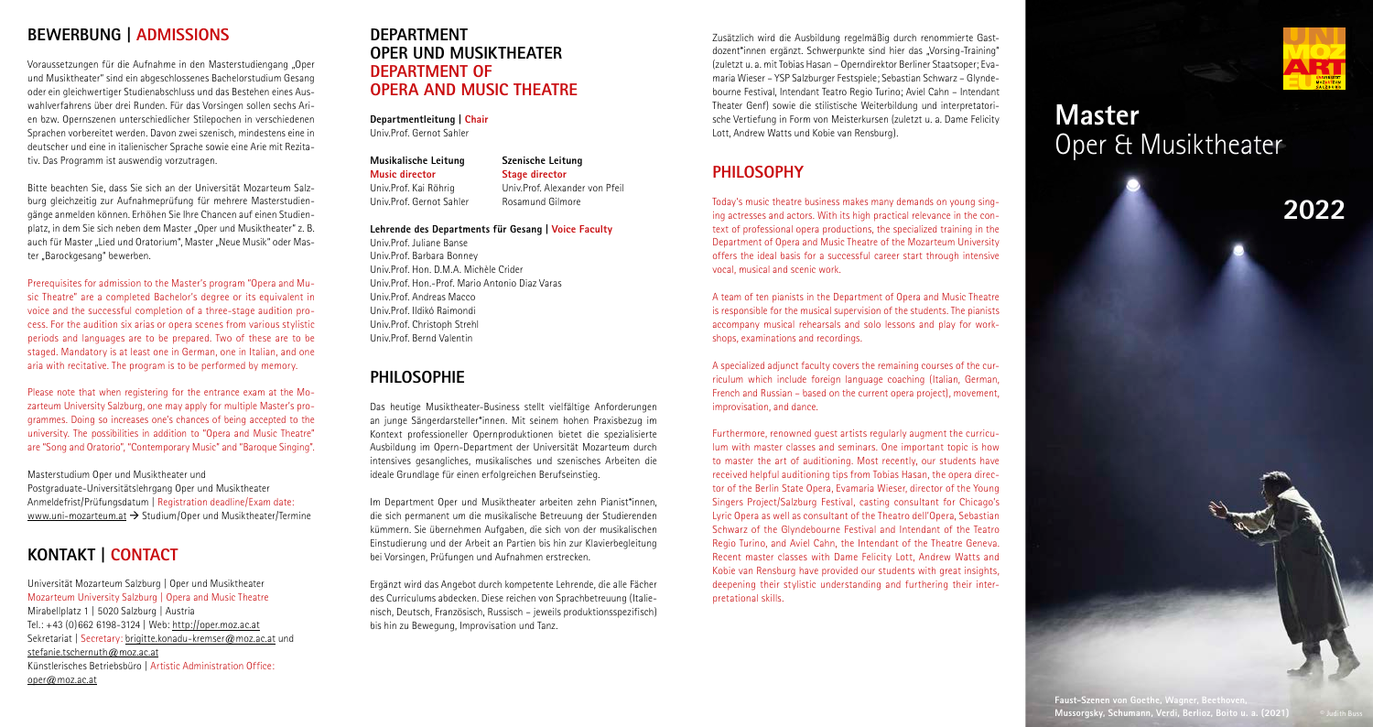**2022**

# **Master** Oper & Musiktheater

# **BEWERBUNG | ADMISSIONS**

Bitte beachten Sie, dass Sie sich an der Universität Mozarteum Salzburg gleichzeitig zur Aufnahmeprüfung für mehrere Masterstudiengänge anmelden können. Erhöhen Sie Ihre Chancen auf einen Studienplatz, in dem Sie sich neben dem Master "Oper und Musiktheater" z. B. auch für Master "Lied und Oratorium", Master "Neue Musik" oder Master "Barockgesang" bewerben.

Voraussetzungen für die Aufnahme in den Masterstudiengang "Oper und Musiktheater" sind ein abgeschlossenes Bachelorstudium Gesang oder ein gleichwertiger Studienabschluss und das Bestehen eines Auswahlverfahrens über drei Runden. Für das Vorsingen sollen sechs Arien bzw. Opernszenen unterschiedlicher Stilepochen in verschiedenen Sprachen vorbereitet werden. Davon zwei szenisch, mindestens eine in deutscher und eine in italienischer Sprache sowie eine Arie mit Rezitativ. Das Programm ist auswendig vorzutragen.

Masterstudium Oper und Musiktheater und Postgraduate-Universitätslehrgang Oper und Musiktheater Anmeldefrist/Prüfungsdatum | Registration deadline/Exam date: www.uni-mozarteum.at  $\rightarrow$  Studium/Oper und Musiktheater/Termine

Prerequisites for admission to the Master's program "Opera and Music Theatre" are a completed Bachelor's degree or its equivalent in voice and the successful completion of a three-stage audition process. For the audition six arias or opera scenes from various stylistic periods and languages are to be prepared. Two of these are to be staged. Mandatory is at least one in German, one in Italian, and one aria with recitative. The program is to be performed by memory.

Please note that when registering for the entrance exam at the Mozarteum University Salzburg, one may apply for multiple Master's programmes. Doing so increases one's chances of being accepted to the university. The possibilities in addition to "Opera and Music Theatre" are "Song and Oratorio", "Contemporary Music" and "Baroque Singing".

# **KONTAKT | CONTACT**

Universität Mozarteum Salzburg | Oper und Musiktheater Mozarteum University Salzburg | Opera and Music Theatre Mirabellplatz 1 | 5020 Salzburg | Austria Tel.: +43 (0)662 6198-3124 | Web: http://oper.moz.ac.at Sekretariat | Secretary: brigitte.konadu-kremser@moz.ac.at und stefanie.tschernuth@moz.ac.at Künstlerisches Betriebsbüro | Artistic Administration Office: oper@moz.ac.at

Zusätzlich wird die Ausbildung regelmäßig durch renommierte Gastdozent\*innen ergänzt. Schwerpunkte sind hier das "Vorsing-Training" (zuletzt u. a. mit Tobias Hasan – Operndirektor Berliner Staatsoper; Evamaria Wieser – YSP Salzburger Festspiele; Sebastian Schwarz – Glyndebourne Festival, Intendant Teatro Regio Turino; Aviel Cahn – Intendant Theater Genf) sowie die stilistische Weiterbildung und interpretatorische Vertiefung in Form von Meisterkursen (zuletzt u. a. Dame Felicity Lott, Andrew Watts und Kobie van Rensburg).

# **PHILOSOPHY**

Today's music theatre business makes many demands on young singing actresses and actors. With its high practical relevance in the context of professional opera productions, the specialized training in the Department of Opera and Music Theatre of the Mozarteum University offers the ideal basis for a successful career start through intensive vocal, musical and scenic work.

A team of ten pianists in the Department of Opera and Music Theatre is responsible for the musical supervision of the students. The pianists accompany musical rehearsals and solo lessons and play for workshops, examinations and recordings.

A specialized adjunct faculty covers the remaining courses of the curriculum which include foreign language coaching (Italian, German, French and Russian – based on the current opera project), movement, improvisation, and dance.

Furthermore, renowned guest artists regularly augment the curriculum with master classes and seminars. One important topic is how to master the art of auditioning. Most recently, our students have received helpful auditioning tips from Tobias Hasan, the opera director of the Berlin State Opera, Evamaria Wieser, director of the Young Singers Project/Salzburg Festival, casting consultant for Chicago's Lyric Opera as well as consultant of the Theatro dell'Opera, Sebastian Schwarz of the Glyndebourne Festival and Intendant of the Teatro Regio Turino, and Aviel Cahn, the Intendant of the Theatre Geneva. Recent master classes with Dame Felicity Lott, Andrew Watts and Kobie van Rensburg have provided our students with great insights, deepening their stylistic understanding and furthering their interpretational skills.



## **DEPARTMENT OPER UND MUSIKTHEATER DEPARTMENT OF OPERA AND MUSIC THEATRE**

**Departmentleitung | Chair** Univ.Prof. Gernot Sahler

### **Musikalische Leitung Music director**

Univ.Prof. Kai Röhrig Univ.Prof. Gernot Sahler

## **Lehrende des Departments für Gesang | Voice Faculty**

Univ.Prof. Juliane Banse Univ.Prof. Barbara Bonney Univ.Prof. Hon. D.M.A. Michèle Crider Univ.Prof. Hon.-Prof. Mario Antonio Diaz Varas Univ.Prof. Andreas Macco Univ.Prof. Ildikó Raimondi Univ.Prof. Christoph Strehl Univ.Prof. Bernd Valentin

## **PHILOSOPHIE**

Das heutige Musiktheater-Business stellt vielfältige Anforderungen an junge Sängerdarsteller\*innen. Mit seinem hohen Praxisbezug im Kontext professioneller Opernproduktionen bietet die spezialisierte Ausbildung im Opern-Department der Universität Mozarteum durch intensives gesangliches, musikalisches und szenisches Arbeiten die ideale Grundlage für einen erfolgreichen Berufseinstieg.

Im Department Oper und Musiktheater arbeiten zehn Pianist\*innen, die sich permanent um die musikalische Betreuung der Studierenden kümmern. Sie übernehmen Aufgaben, die sich von der musikalischen Einstudierung und der Arbeit an Partien bis hin zur Klavierbegleitung bei Vorsingen, Prüfungen und Aufnahmen erstrecken.

Ergänzt wird das Angebot durch kompetente Lehrende, die alle Fächer des Curriculums abdecken. Diese reichen von Sprachbetreuung (Italienisch, Deutsch, Französisch, Russisch – jeweils produktionsspezifisch) bis hin zu Bewegung, Improvisation und Tanz.

**Szenische Leitung Stage director** Univ.Prof. Alexander von Pfeil Rosamund Gilmore

> **Faust-Szenen von Goethe, Wagner, Beethoven, Mussorgsky, Schumann, Verdi, Berlioz, Boito u. a. (2021)** © Judith Buss